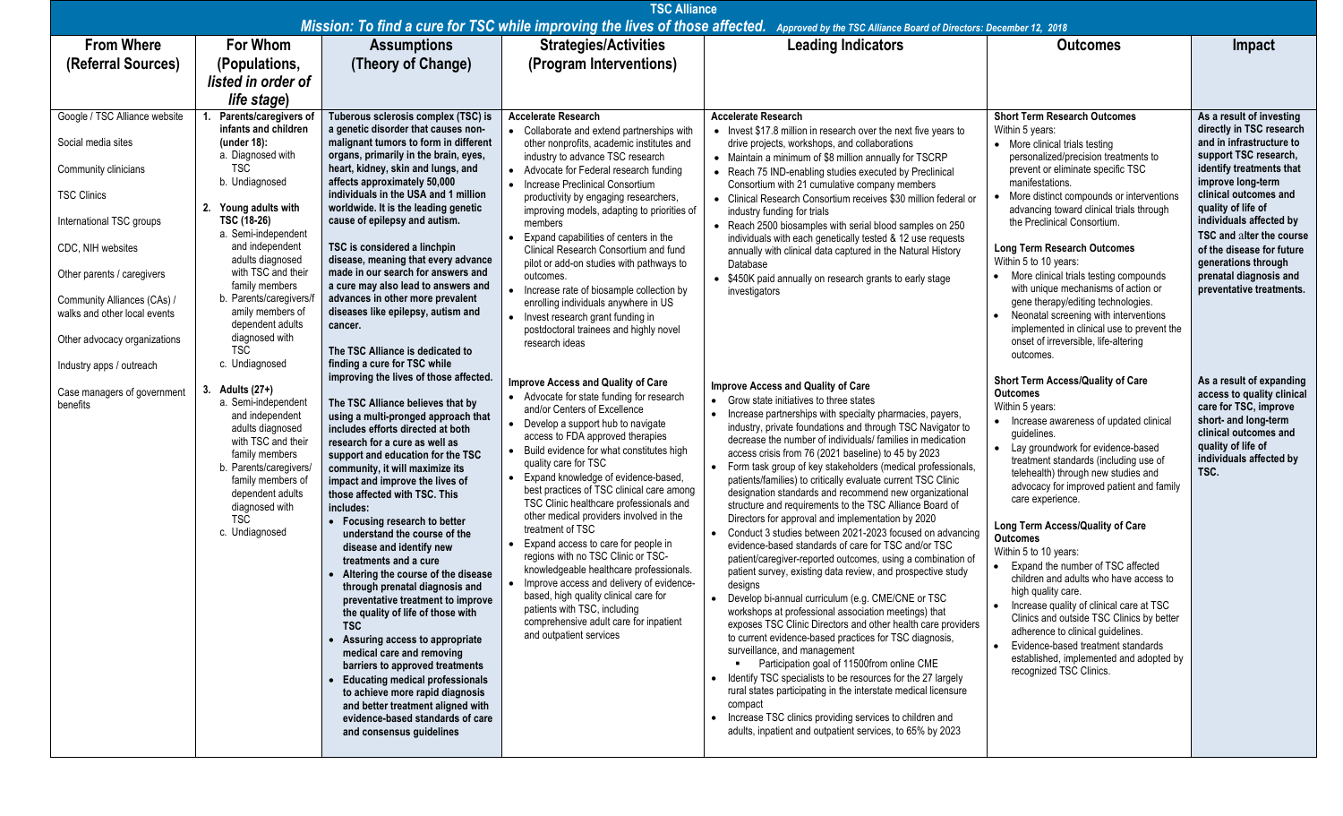| <b>TSC Alliance</b><br>Mission: To find a cure for TSC while improving the lives of those affected.<br>Approved by the TSC Alliance Board of Directors: December 12, 2018                                                                       |                                                                                                                                                                                                                                                                                                              |                                                                                                                                                                                                                                                                                                                                                                                                                                                                                                                                                                                                                                                                                                                                                                                                                                                                                  |                                                                                                                                                                                                                                                                                                                                                                                                                                                                                                                                                                                                                                                                                                                                                                                      |                                                                                                                                                                                                                                                                                                                                                                                                                                                                                                                                                                                                                                                                                                                                                                                                                                                                                                                                                                                                                                                                                                                                                                                                                                                                                                                                                                                                                                                                                                                  |                                                                                                                                                                                                                                                                                                                                                                                                                                                                                                                                                                                                                                                                                                                                                            |                                                                                                                                                                                                                                                                                                                                                                            |  |  |  |  |  |
|-------------------------------------------------------------------------------------------------------------------------------------------------------------------------------------------------------------------------------------------------|--------------------------------------------------------------------------------------------------------------------------------------------------------------------------------------------------------------------------------------------------------------------------------------------------------------|----------------------------------------------------------------------------------------------------------------------------------------------------------------------------------------------------------------------------------------------------------------------------------------------------------------------------------------------------------------------------------------------------------------------------------------------------------------------------------------------------------------------------------------------------------------------------------------------------------------------------------------------------------------------------------------------------------------------------------------------------------------------------------------------------------------------------------------------------------------------------------|--------------------------------------------------------------------------------------------------------------------------------------------------------------------------------------------------------------------------------------------------------------------------------------------------------------------------------------------------------------------------------------------------------------------------------------------------------------------------------------------------------------------------------------------------------------------------------------------------------------------------------------------------------------------------------------------------------------------------------------------------------------------------------------|------------------------------------------------------------------------------------------------------------------------------------------------------------------------------------------------------------------------------------------------------------------------------------------------------------------------------------------------------------------------------------------------------------------------------------------------------------------------------------------------------------------------------------------------------------------------------------------------------------------------------------------------------------------------------------------------------------------------------------------------------------------------------------------------------------------------------------------------------------------------------------------------------------------------------------------------------------------------------------------------------------------------------------------------------------------------------------------------------------------------------------------------------------------------------------------------------------------------------------------------------------------------------------------------------------------------------------------------------------------------------------------------------------------------------------------------------------------------------------------------------------------|------------------------------------------------------------------------------------------------------------------------------------------------------------------------------------------------------------------------------------------------------------------------------------------------------------------------------------------------------------------------------------------------------------------------------------------------------------------------------------------------------------------------------------------------------------------------------------------------------------------------------------------------------------------------------------------------------------------------------------------------------------|----------------------------------------------------------------------------------------------------------------------------------------------------------------------------------------------------------------------------------------------------------------------------------------------------------------------------------------------------------------------------|--|--|--|--|--|
| <b>From Where</b>                                                                                                                                                                                                                               | <b>For Whom</b>                                                                                                                                                                                                                                                                                              | <b>Assumptions</b>                                                                                                                                                                                                                                                                                                                                                                                                                                                                                                                                                                                                                                                                                                                                                                                                                                                               | <b>Strategies/Activities</b>                                                                                                                                                                                                                                                                                                                                                                                                                                                                                                                                                                                                                                                                                                                                                         | <b>Leading Indicators</b>                                                                                                                                                                                                                                                                                                                                                                                                                                                                                                                                                                                                                                                                                                                                                                                                                                                                                                                                                                                                                                                                                                                                                                                                                                                                                                                                                                                                                                                                                        | <b>Outcomes</b>                                                                                                                                                                                                                                                                                                                                                                                                                                                                                                                                                                                                                                                                                                                                            | Impact                                                                                                                                                                                                                                                                                                                                                                     |  |  |  |  |  |
| (Referral Sources)                                                                                                                                                                                                                              | (Populations,                                                                                                                                                                                                                                                                                                | (Theory of Change)                                                                                                                                                                                                                                                                                                                                                                                                                                                                                                                                                                                                                                                                                                                                                                                                                                                               | (Program Interventions)                                                                                                                                                                                                                                                                                                                                                                                                                                                                                                                                                                                                                                                                                                                                                              |                                                                                                                                                                                                                                                                                                                                                                                                                                                                                                                                                                                                                                                                                                                                                                                                                                                                                                                                                                                                                                                                                                                                                                                                                                                                                                                                                                                                                                                                                                                  |                                                                                                                                                                                                                                                                                                                                                                                                                                                                                                                                                                                                                                                                                                                                                            |                                                                                                                                                                                                                                                                                                                                                                            |  |  |  |  |  |
|                                                                                                                                                                                                                                                 | listed in order of                                                                                                                                                                                                                                                                                           |                                                                                                                                                                                                                                                                                                                                                                                                                                                                                                                                                                                                                                                                                                                                                                                                                                                                                  |                                                                                                                                                                                                                                                                                                                                                                                                                                                                                                                                                                                                                                                                                                                                                                                      |                                                                                                                                                                                                                                                                                                                                                                                                                                                                                                                                                                                                                                                                                                                                                                                                                                                                                                                                                                                                                                                                                                                                                                                                                                                                                                                                                                                                                                                                                                                  |                                                                                                                                                                                                                                                                                                                                                                                                                                                                                                                                                                                                                                                                                                                                                            |                                                                                                                                                                                                                                                                                                                                                                            |  |  |  |  |  |
|                                                                                                                                                                                                                                                 | life stage)                                                                                                                                                                                                                                                                                                  |                                                                                                                                                                                                                                                                                                                                                                                                                                                                                                                                                                                                                                                                                                                                                                                                                                                                                  |                                                                                                                                                                                                                                                                                                                                                                                                                                                                                                                                                                                                                                                                                                                                                                                      |                                                                                                                                                                                                                                                                                                                                                                                                                                                                                                                                                                                                                                                                                                                                                                                                                                                                                                                                                                                                                                                                                                                                                                                                                                                                                                                                                                                                                                                                                                                  |                                                                                                                                                                                                                                                                                                                                                                                                                                                                                                                                                                                                                                                                                                                                                            |                                                                                                                                                                                                                                                                                                                                                                            |  |  |  |  |  |
| Google / TSC Alliance website<br>Social media sites<br>Community clinicians<br><b>TSC Clinics</b><br>International TSC groups<br>CDC, NIH websites<br>Other parents / caregivers<br>Community Alliances (CAs) /<br>walks and other local events | Parents/caregivers of<br>infants and children<br>(under 18):<br>a. Diagnosed with<br><b>TSC</b><br>b. Undiagnosed<br>2. Young adults with<br>TSC (18-26)<br>a. Semi-independent<br>and independent<br>adults diagnosed<br>with TSC and their<br>family members<br>b. Parents/caregivers/<br>amily members of | Tuberous sclerosis complex (TSC) is<br>a genetic disorder that causes non-<br>malignant tumors to form in different<br>organs, primarily in the brain, eyes,<br>heart, kidney, skin and lungs, and<br>affects approximately 50,000<br>individuals in the USA and 1 million<br>worldwide. It is the leading genetic<br>cause of epilepsy and autism.<br>TSC is considered a linchpin<br>disease, meaning that every advance<br>made in our search for answers and<br>a cure may also lead to answers and<br>advances in other more prevalent<br>diseases like epilepsy, autism and                                                                                                                                                                                                                                                                                                | <b>Accelerate Research</b><br>• Collaborate and extend partnerships with<br>other nonprofits, academic institutes and<br>industry to advance TSC research<br>• Advocate for Federal research funding<br>• Increase Preclinical Consortium<br>productivity by engaging researchers,<br>improving models, adapting to priorities of<br>members<br>Expand capabilities of centers in the<br>Clinical Research Consortium and fund<br>pilot or add-on studies with pathways to<br>outcomes.<br>• Increase rate of biosample collection by<br>enrolling individuals anywhere in US                                                                                                                                                                                                        | <b>Accelerate Research</b><br>• Invest \$17.8 million in research over the next five years to<br>drive projects, workshops, and collaborations<br>• Maintain a minimum of \$8 million annually for TSCRP<br>• Reach 75 IND-enabling studies executed by Preclinical<br>Consortium with 21 cumulative company members<br>• Clinical Research Consortium receives \$30 million federal or<br>industry funding for trials<br>• Reach 2500 biosamples with serial blood samples on 250<br>individuals with each genetically tested & 12 use requests<br>annually with clinical data captured in the Natural History<br>Database<br>• \$450K paid annually on research grants to early stage<br>investigators                                                                                                                                                                                                                                                                                                                                                                                                                                                                                                                                                                                                                                                                                                                                                                                                         | <b>Short Term Research Outcomes</b><br>Within 5 years:<br>• More clinical trials testing<br>personalized/precision treatments to<br>prevent or eliminate specific TSC<br>manifestations.<br>More distinct compounds or interventions<br>advancing toward clinical trials through<br>the Preclinical Consortium.<br><b>Long Term Research Outcomes</b><br>Within 5 to 10 years:<br>• More clinical trials testing compounds<br>with unique mechanisms of action or<br>gene therapy/editing technologies.                                                                                                                                                                                                                                                    | As a result of investing<br>directly in TSC research<br>and in infrastructure to<br>support TSC research,<br>identify treatments that<br>improve long-term<br>clinical outcomes and<br>quality of life of<br>individuals affected by<br>TSC and alter the course<br>of the disease for future<br>generations through<br>prenatal diagnosis and<br>preventative treatments. |  |  |  |  |  |
| Other advocacy organizations<br>Industry apps / outreach                                                                                                                                                                                        | dependent adults<br>diagnosed with<br><b>TSC</b><br>c. Undiagnosed                                                                                                                                                                                                                                           | cancer.<br>The TSC Alliance is dedicated to<br>finding a cure for TSC while<br>improving the lives of those affected.                                                                                                                                                                                                                                                                                                                                                                                                                                                                                                                                                                                                                                                                                                                                                            | • Invest research grant funding in<br>postdoctoral trainees and highly novel<br>research ideas                                                                                                                                                                                                                                                                                                                                                                                                                                                                                                                                                                                                                                                                                       |                                                                                                                                                                                                                                                                                                                                                                                                                                                                                                                                                                                                                                                                                                                                                                                                                                                                                                                                                                                                                                                                                                                                                                                                                                                                                                                                                                                                                                                                                                                  | Neonatal screening with interventions<br>implemented in clinical use to prevent the<br>onset of irreversible, life-altering<br>outcomes.                                                                                                                                                                                                                                                                                                                                                                                                                                                                                                                                                                                                                   |                                                                                                                                                                                                                                                                                                                                                                            |  |  |  |  |  |
| Case managers of government<br>benefits                                                                                                                                                                                                         | 3. Adults (27+)<br>a. Semi-independent<br>and independent<br>adults diagnosed<br>with TSC and their<br>family members<br>b. Parents/caregivers/<br>family members of<br>dependent adults<br>diagnosed with<br><b>TSC</b><br>c. Undiagnosed                                                                   | The TSC Alliance believes that by<br>using a multi-pronged approach that<br>includes efforts directed at both<br>research for a cure as well as<br>support and education for the TSC<br>community, it will maximize its<br>impact and improve the lives of<br>those affected with TSC. This<br>includes:<br>Focusing research to better<br>understand the course of the<br>disease and identify new<br>treatments and a cure<br>Altering the course of the disease<br>through prenatal diagnosis and<br>preventative treatment to improve<br>the quality of life of those with<br><b>TSC</b><br>Assuring access to appropriate<br>medical care and removing<br>barriers to approved treatments<br><b>Educating medical professionals</b><br>to achieve more rapid diagnosis<br>and better treatment aligned with<br>evidence-based standards of care<br>and consensus guidelines | Improve Access and Quality of Care<br>• Advocate for state funding for research<br>and/or Centers of Excellence<br>• Develop a support hub to navigate<br>access to FDA approved therapies<br>• Build evidence for what constitutes high<br>quality care for TSC<br>• Expand knowledge of evidence-based,<br>best practices of TSC clinical care among<br>TSC Clinic healthcare professionals and<br>other medical providers involved in the<br>treatment of TSC<br>Expand access to care for people in<br>regions with no TSC Clinic or TSC-<br>knowledgeable healthcare professionals.<br>• Improve access and delivery of evidence-<br>based, high quality clinical care for<br>patients with TSC, including<br>comprehensive adult care for inpatient<br>and outpatient services | Improve Access and Quality of Care<br>Grow state initiatives to three states<br>$\bullet$<br>• Increase partnerships with specialty pharmacies, payers,<br>industry, private foundations and through TSC Navigator to<br>decrease the number of individuals/ families in medication<br>access crisis from 76 (2021 baseline) to 45 by 2023<br>• Form task group of key stakeholders (medical professionals,<br>patients/families) to critically evaluate current TSC Clinic<br>designation standards and recommend new organizational<br>structure and requirements to the TSC Alliance Board of<br>Directors for approval and implementation by 2020<br>• Conduct 3 studies between 2021-2023 focused on advancing<br>evidence-based standards of care for TSC and/or TSC<br>patient/caregiver-reported outcomes, using a combination of<br>patient survey, existing data review, and prospective study<br>designs<br>Develop bi-annual curriculum (e.g. CME/CNE or TSC<br>workshops at professional association meetings) that<br>exposes TSC Clinic Directors and other health care providers<br>to current evidence-based practices for TSC diagnosis,<br>surveillance, and management<br>Participation goal of 11500from online CME<br>• Identify TSC specialists to be resources for the 27 largely<br>rural states participating in the interstate medical licensure<br>compact<br>• Increase TSC clinics providing services to children and<br>adults, inpatient and outpatient services, to 65% by 2023 | Short Term Access/Quality of Care<br><b>Outcomes</b><br>Within 5 years:<br>• Increase awareness of updated clinical<br>guidelines.<br>• Lay groundwork for evidence-based<br>treatment standards (including use of<br>telehealth) through new studies and<br>advocacy for improved patient and family<br>care experience.<br>Long Term Access/Quality of Care<br><b>Outcomes</b><br>Within 5 to 10 years:<br>• Expand the number of TSC affected<br>children and adults who have access to<br>high quality care.<br>Increase quality of clinical care at TSC<br>Clinics and outside TSC Clinics by better<br>adherence to clinical guidelines.<br>Evidence-based treatment standards<br>established, implemented and adopted by<br>recognized TSC Clinics. | As a result of expanding<br>access to quality clinical<br>care for TSC, improve<br>short- and long-term<br>clinical outcomes and<br>quality of life of<br>individuals affected by<br>TSC.                                                                                                                                                                                  |  |  |  |  |  |